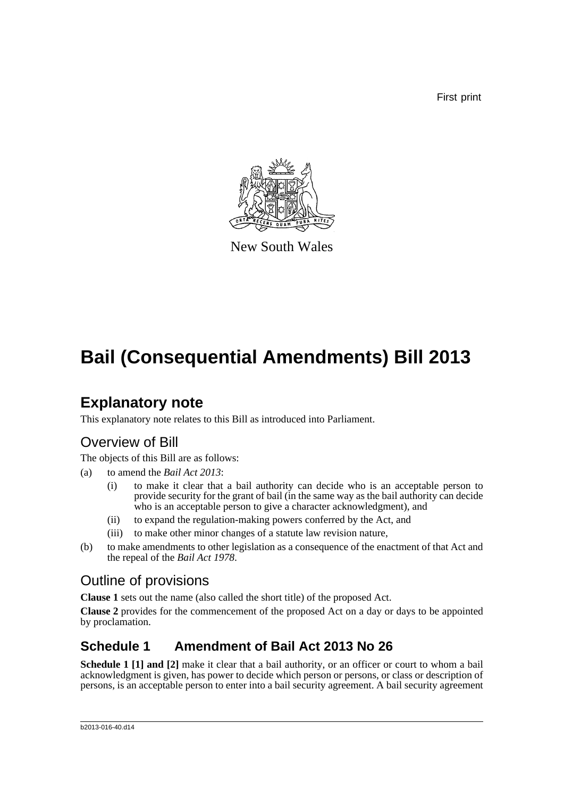First print



New South Wales

# **Bail (Consequential Amendments) Bill 2013**

### **Explanatory note**

This explanatory note relates to this Bill as introduced into Parliament.

#### Overview of Bill

The objects of this Bill are as follows:

- (a) to amend the *Bail Act 2013*:
	- (i) to make it clear that a bail authority can decide who is an acceptable person to provide security for the grant of bail (in the same way as the bail authority can decide who is an acceptable person to give a character acknowledgment), and
	- (ii) to expand the regulation-making powers conferred by the Act, and
	- (iii) to make other minor changes of a statute law revision nature,
- (b) to make amendments to other legislation as a consequence of the enactment of that Act and the repeal of the *Bail Act 1978*.

#### Outline of provisions

**Clause 1** sets out the name (also called the short title) of the proposed Act.

**Clause 2** provides for the commencement of the proposed Act on a day or days to be appointed by proclamation.

#### **Schedule 1 Amendment of Bail Act 2013 No 26**

**Schedule 1 [1] and [2]** make it clear that a bail authority, or an officer or court to whom a bail acknowledgment is given, has power to decide which person or persons, or class or description of persons, is an acceptable person to enter into a bail security agreement. A bail security agreement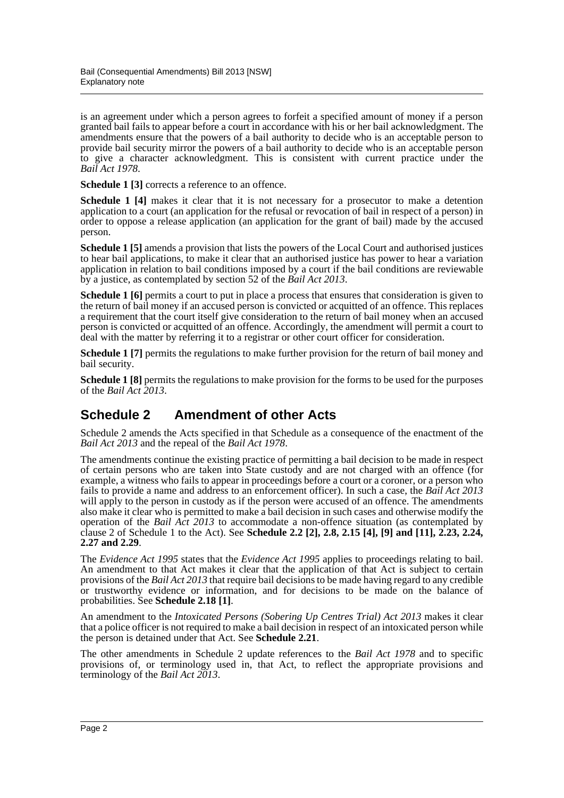is an agreement under which a person agrees to forfeit a specified amount of money if a person granted bail fails to appear before a court in accordance with his or her bail acknowledgment. The amendments ensure that the powers of a bail authority to decide who is an acceptable person to provide bail security mirror the powers of a bail authority to decide who is an acceptable person to give a character acknowledgment. This is consistent with current practice under the *Bail Act 1978*.

**Schedule 1 [3]** corrects a reference to an offence.

**Schedule 1 [4]** makes it clear that it is not necessary for a prosecutor to make a detention application to a court (an application for the refusal or revocation of bail in respect of a person) in order to oppose a release application (an application for the grant of bail) made by the accused person.

**Schedule 1 [5]** amends a provision that lists the powers of the Local Court and authorised justices to hear bail applications, to make it clear that an authorised justice has power to hear a variation application in relation to bail conditions imposed by a court if the bail conditions are reviewable by a justice, as contemplated by section 52 of the *Bail Act 2013*.

**Schedule 1 [6]** permits a court to put in place a process that ensures that consideration is given to the return of bail money if an accused person is convicted or acquitted of an offence. This replaces a requirement that the court itself give consideration to the return of bail money when an accused person is convicted or acquitted of an offence. Accordingly, the amendment will permit a court to deal with the matter by referring it to a registrar or other court officer for consideration.

**Schedule 1 [7]** permits the regulations to make further provision for the return of bail money and bail security.

**Schedule 1 [8]** permits the regulations to make provision for the forms to be used for the purposes of the *Bail Act 2013*.

#### **Schedule 2 Amendment of other Acts**

Schedule 2 amends the Acts specified in that Schedule as a consequence of the enactment of the *Bail Act 2013* and the repeal of the *Bail Act 1978*.

The amendments continue the existing practice of permitting a bail decision to be made in respect of certain persons who are taken into State custody and are not charged with an offence (for example, a witness who fails to appear in proceedings before a court or a coroner, or a person who fails to provide a name and address to an enforcement officer). In such a case, the *Bail Act 2013* will apply to the person in custody as if the person were accused of an offence. The amendments also make it clear who is permitted to make a bail decision in such cases and otherwise modify the operation of the *Bail Act 2013* to accommodate a non-offence situation (as contemplated by clause 2 of Schedule 1 to the Act). See **Schedule 2.2 [2], 2.8, 2.15 [4], [9] and [11], 2.23, 2.24, 2.27 and 2.29**.

The *Evidence Act 1995* states that the *Evidence Act 1995* applies to proceedings relating to bail. An amendment to that Act makes it clear that the application of that Act is subject to certain provisions of the *Bail Act 2013* that require bail decisions to be made having regard to any credible or trustworthy evidence or information, and for decisions to be made on the balance of probabilities. See **Schedule 2.18 [1]**.

An amendment to the *Intoxicated Persons (Sobering Up Centres Trial) Act 2013* makes it clear that a police officer is not required to make a bail decision in respect of an intoxicated person while the person is detained under that Act. See **Schedule 2.21**.

The other amendments in Schedule 2 update references to the *Bail Act 1978* and to specific provisions of, or terminology used in, that Act, to reflect the appropriate provisions and terminology of the *Bail Act 2013*.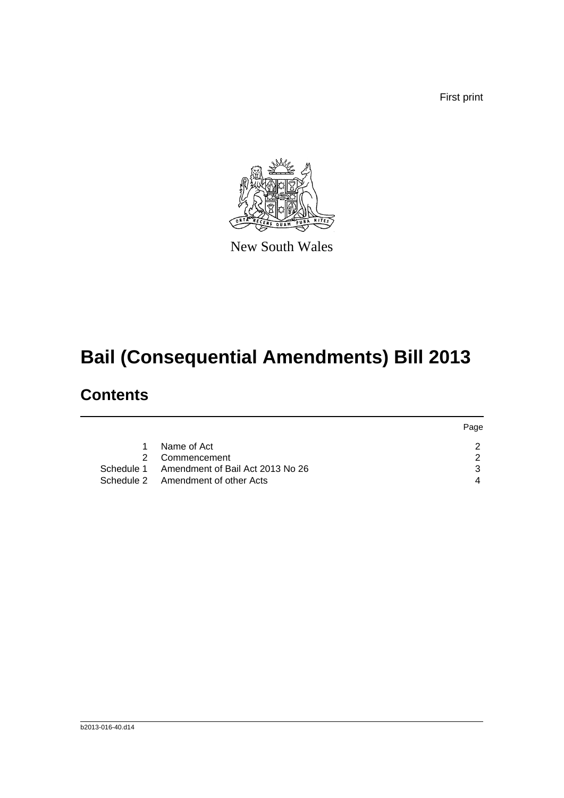First print



New South Wales

# **Bail (Consequential Amendments) Bill 2013**

## **Contents**

|    |                                             | Page |
|----|---------------------------------------------|------|
| 1. | Name of Act                                 |      |
|    | 2 Commencement                              |      |
|    | Schedule 1 Amendment of Bail Act 2013 No 26 |      |
|    | Schedule 2 Amendment of other Acts          |      |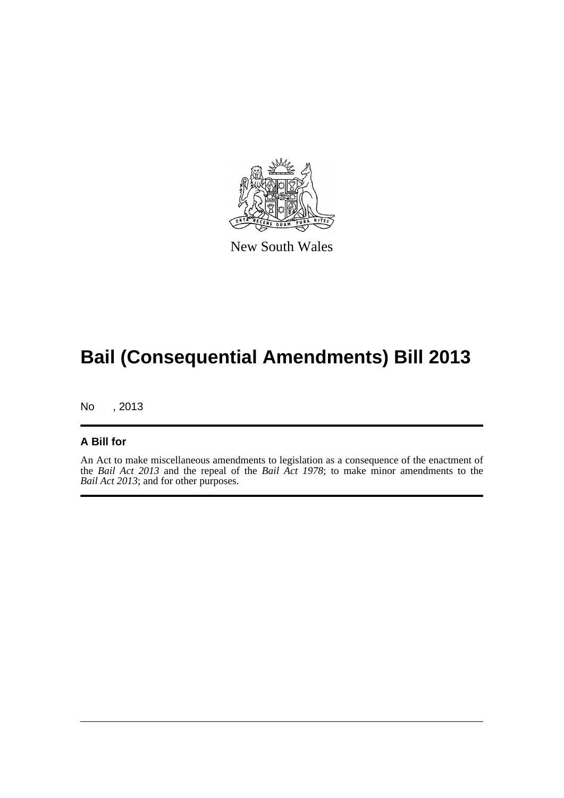

New South Wales

## **Bail (Consequential Amendments) Bill 2013**

No , 2013

#### **A Bill for**

An Act to make miscellaneous amendments to legislation as a consequence of the enactment of the *Bail Act 2013* and the repeal of the *Bail Act 1978*; to make minor amendments to the *Bail Act 2013*; and for other purposes.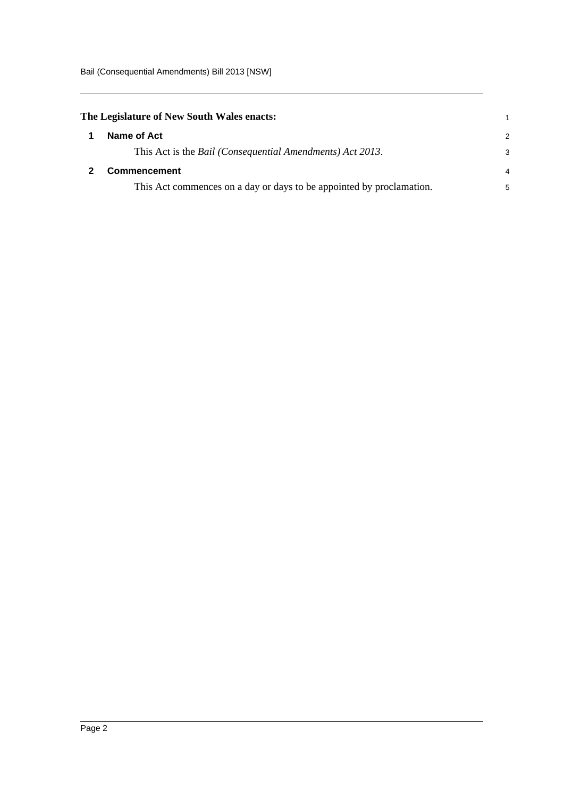<span id="page-4-1"></span><span id="page-4-0"></span>

| The Legislature of New South Wales enacts:                                |               |
|---------------------------------------------------------------------------|---------------|
| Name of Act                                                               | $\mathcal{P}$ |
| This Act is the <i>Bail</i> ( <i>Consequential Amendments</i> ) Act 2013. | 3             |
| Commencement                                                              | 4             |
| This Act commences on a day or days to be appointed by proclamation.      | 5             |
|                                                                           |               |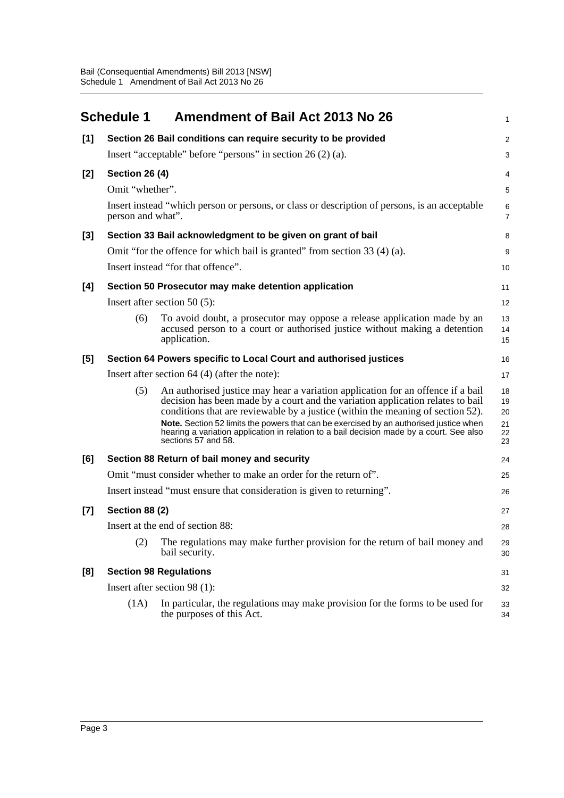<span id="page-5-0"></span>

|     | <b>Schedule 1</b>     | Amendment of Bail Act 2013 No 26                                                                                                                                                                                                                                                                                                                                                                                                                                   | 1                                |
|-----|-----------------------|--------------------------------------------------------------------------------------------------------------------------------------------------------------------------------------------------------------------------------------------------------------------------------------------------------------------------------------------------------------------------------------------------------------------------------------------------------------------|----------------------------------|
| [1] |                       | Section 26 Bail conditions can require security to be provided                                                                                                                                                                                                                                                                                                                                                                                                     | 2                                |
|     |                       | Insert "acceptable" before "persons" in section 26 (2) (a).                                                                                                                                                                                                                                                                                                                                                                                                        | 3                                |
| [2] | <b>Section 26 (4)</b> |                                                                                                                                                                                                                                                                                                                                                                                                                                                                    | 4                                |
|     | Omit "whether".       |                                                                                                                                                                                                                                                                                                                                                                                                                                                                    | 5                                |
|     | person and what".     | Insert instead "which person or persons, or class or description of persons, is an acceptable                                                                                                                                                                                                                                                                                                                                                                      | 6<br>7                           |
| [3] |                       | Section 33 Bail acknowledgment to be given on grant of bail                                                                                                                                                                                                                                                                                                                                                                                                        | 8                                |
|     |                       | Omit "for the offence for which bail is granted" from section 33 (4) (a).                                                                                                                                                                                                                                                                                                                                                                                          | 9                                |
|     |                       | Insert instead "for that offence".                                                                                                                                                                                                                                                                                                                                                                                                                                 | 10                               |
| [4] |                       | Section 50 Prosecutor may make detention application                                                                                                                                                                                                                                                                                                                                                                                                               | 11                               |
|     |                       | Insert after section 50 $(5)$ :                                                                                                                                                                                                                                                                                                                                                                                                                                    | 12                               |
|     | (6)                   | To avoid doubt, a prosecutor may oppose a release application made by an<br>accused person to a court or authorised justice without making a detention<br>application.                                                                                                                                                                                                                                                                                             | 13<br>14<br>15                   |
| [5] |                       | Section 64 Powers specific to Local Court and authorised justices                                                                                                                                                                                                                                                                                                                                                                                                  | 16                               |
|     |                       | Insert after section $64$ (4) (after the note):                                                                                                                                                                                                                                                                                                                                                                                                                    | 17                               |
|     | (5)                   | An authorised justice may hear a variation application for an offence if a bail<br>decision has been made by a court and the variation application relates to bail<br>conditions that are reviewable by a justice (within the meaning of section 52).<br>Note. Section 52 limits the powers that can be exercised by an authorised justice when<br>hearing a variation application in relation to a bail decision made by a court. See also<br>sections 57 and 58. | 18<br>19<br>20<br>21<br>22<br>23 |
| [6] |                       | Section 88 Return of bail money and security                                                                                                                                                                                                                                                                                                                                                                                                                       | 24                               |
|     |                       | Omit "must consider whether to make an order for the return of".                                                                                                                                                                                                                                                                                                                                                                                                   | 25                               |
|     |                       | Insert instead "must ensure that consideration is given to returning".                                                                                                                                                                                                                                                                                                                                                                                             | 26                               |
| [7] | <b>Section 88 (2)</b> |                                                                                                                                                                                                                                                                                                                                                                                                                                                                    | 27                               |
|     |                       | Insert at the end of section 88:                                                                                                                                                                                                                                                                                                                                                                                                                                   | 28                               |
|     | (2)                   | The regulations may make further provision for the return of bail money and<br>bail security.                                                                                                                                                                                                                                                                                                                                                                      | 29<br>30                         |
| [8] |                       | <b>Section 98 Regulations</b>                                                                                                                                                                                                                                                                                                                                                                                                                                      | 31                               |
|     |                       | Insert after section 98 (1):                                                                                                                                                                                                                                                                                                                                                                                                                                       | 32                               |
|     | (1A)                  | In particular, the regulations may make provision for the forms to be used for<br>the purposes of this Act.                                                                                                                                                                                                                                                                                                                                                        | 33<br>34                         |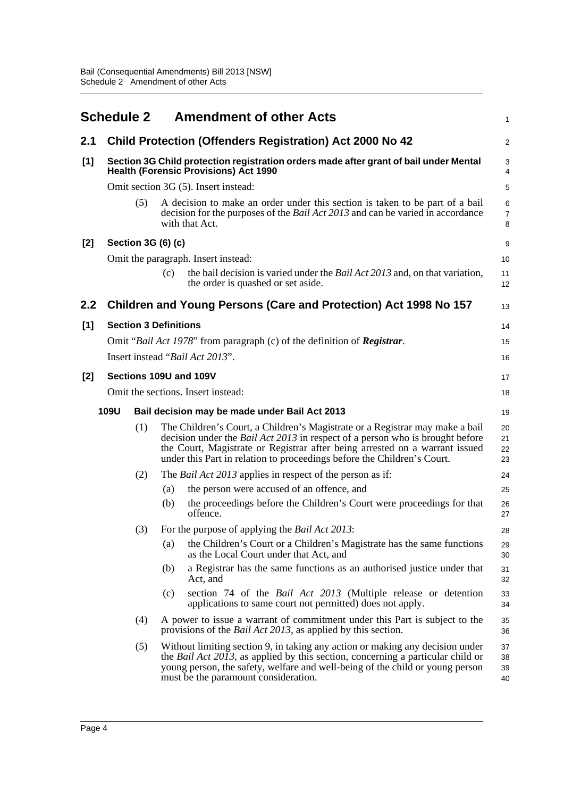<span id="page-6-0"></span>

|       | <b>Schedule 2</b> |     | <b>Amendment of other Acts</b>                                                                                                                                                                                                                                                                                          | 1                        |
|-------|-------------------|-----|-------------------------------------------------------------------------------------------------------------------------------------------------------------------------------------------------------------------------------------------------------------------------------------------------------------------------|--------------------------|
| 2.1   |                   |     | <b>Child Protection (Offenders Registration) Act 2000 No 42</b>                                                                                                                                                                                                                                                         | $\overline{2}$           |
| [1]   |                   |     | Section 3G Child protection registration orders made after grant of bail under Mental<br><b>Health (Forensic Provisions) Act 1990</b>                                                                                                                                                                                   | 3<br>4                   |
|       |                   |     | Omit section 3G (5). Insert instead:                                                                                                                                                                                                                                                                                    | 5                        |
|       |                   | (5) | A decision to make an order under this section is taken to be part of a bail<br>decision for the purposes of the <i>Bail Act 2013</i> and can be varied in accordance<br>with that Act.                                                                                                                                 | 6<br>$\overline{7}$<br>8 |
| [2]   |                   |     | Section 3G (6) (c)                                                                                                                                                                                                                                                                                                      | 9                        |
|       |                   |     | Omit the paragraph. Insert instead:                                                                                                                                                                                                                                                                                     | 10                       |
|       |                   |     | the bail decision is varied under the <i>Bail Act 2013</i> and, on that variation,<br>(c)<br>the order is quashed or set aside.                                                                                                                                                                                         | 11<br>12                 |
| 2.2   |                   |     | Children and Young Persons (Care and Protection) Act 1998 No 157                                                                                                                                                                                                                                                        | 13                       |
| [1]   |                   |     | <b>Section 3 Definitions</b>                                                                                                                                                                                                                                                                                            | 14                       |
|       |                   |     | Omit "Bail Act 1978" from paragraph (c) of the definition of <b>Registrar</b> .                                                                                                                                                                                                                                         | 15                       |
|       |                   |     | Insert instead "Bail Act 2013".                                                                                                                                                                                                                                                                                         | 16                       |
| $[2]$ |                   |     | Sections 109U and 109V                                                                                                                                                                                                                                                                                                  | 17                       |
|       |                   |     | Omit the sections. Insert instead:                                                                                                                                                                                                                                                                                      | 18                       |
|       | <b>109U</b>       |     | Bail decision may be made under Bail Act 2013                                                                                                                                                                                                                                                                           | 19                       |
|       |                   | (1) | The Children's Court, a Children's Magistrate or a Registrar may make a bail<br>decision under the Bail Act 2013 in respect of a person who is brought before<br>the Court, Magistrate or Registrar after being arrested on a warrant issued<br>under this Part in relation to proceedings before the Children's Court. | 20<br>21<br>22<br>23     |
|       |                   | (2) | The <i>Bail Act 2013</i> applies in respect of the person as if:                                                                                                                                                                                                                                                        | 24                       |
|       |                   |     | the person were accused of an offence, and<br>(a)                                                                                                                                                                                                                                                                       | 25                       |
|       |                   |     | the proceedings before the Children's Court were proceedings for that<br>(b)<br>offence.                                                                                                                                                                                                                                | 26<br>27                 |
|       |                   | (3) | For the purpose of applying the <i>Bail Act 2013</i> :                                                                                                                                                                                                                                                                  | 28                       |
|       |                   |     | the Children's Court or a Children's Magistrate has the same functions<br>(a)<br>as the Local Court under that Act, and                                                                                                                                                                                                 | 29<br>30                 |
|       |                   |     | a Registrar has the same functions as an authorised justice under that<br>(b)<br>Act, and                                                                                                                                                                                                                               | 31<br>32                 |
|       |                   |     | section 74 of the Bail Act 2013 (Multiple release or detention<br>(c)<br>applications to same court not permitted) does not apply.                                                                                                                                                                                      | 33<br>34                 |
|       |                   | (4) | A power to issue a warrant of commitment under this Part is subject to the<br>provisions of the <i>Bail Act 2013</i> , as applied by this section.                                                                                                                                                                      | 35<br>36                 |
|       |                   | (5) | Without limiting section 9, in taking any action or making any decision under<br>the <i>Bail Act 2013</i> , as applied by this section, concerning a particular child or<br>young person, the safety, welfare and well-being of the child or young person<br>must be the paramount consideration.                       | 37<br>38<br>39<br>40     |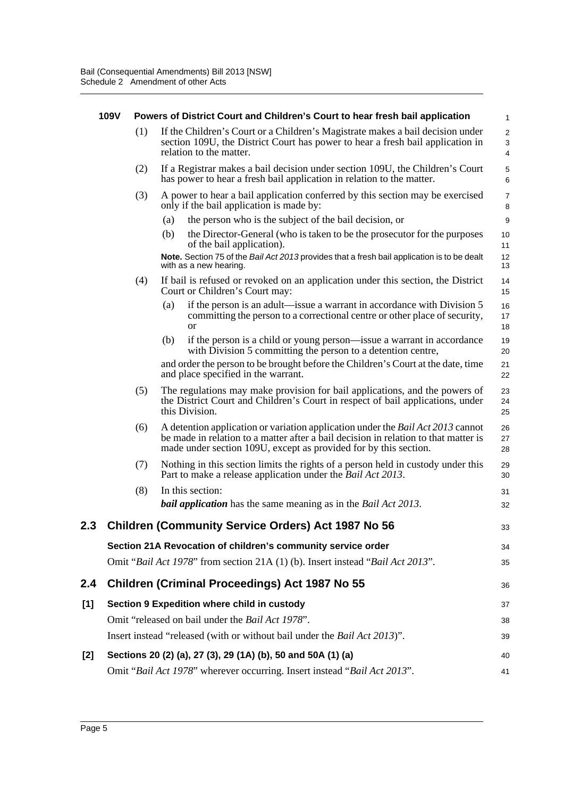|     | 109V |     |     | Powers of District Court and Children's Court to hear fresh bail application                                                                                                                                                                      | 1                           |
|-----|------|-----|-----|---------------------------------------------------------------------------------------------------------------------------------------------------------------------------------------------------------------------------------------------------|-----------------------------|
|     |      | (1) |     | If the Children's Court or a Children's Magistrate makes a bail decision under<br>section 109U, the District Court has power to hear a fresh bail application in<br>relation to the matter.                                                       | $\overline{2}$<br>3<br>4    |
|     |      | (2) |     | If a Registrar makes a bail decision under section 109U, the Children's Court<br>has power to hear a fresh bail application in relation to the matter.                                                                                            | $\mathbf 5$<br>6            |
|     |      | (3) |     | A power to hear a bail application conferred by this section may be exercised<br>only if the bail application is made by:                                                                                                                         | $\boldsymbol{7}$<br>$\bf 8$ |
|     |      |     | (a) | the person who is the subject of the bail decision, or                                                                                                                                                                                            | 9                           |
|     |      |     | (b) | the Director-General (who is taken to be the prosecutor for the purposes<br>of the bail application).                                                                                                                                             | 10<br>11                    |
|     |      |     |     | Note. Section 75 of the Bail Act 2013 provides that a fresh bail application is to be dealt<br>with as a new hearing.                                                                                                                             | 12<br>13                    |
|     |      | (4) |     | If bail is refused or revoked on an application under this section, the District<br>Court or Children's Court may:                                                                                                                                | 14<br>15                    |
|     |      |     | (a) | if the person is an adult—issue a warrant in accordance with Division 5<br>committing the person to a correctional centre or other place of security,<br><b>or</b>                                                                                | 16<br>17<br>18              |
|     |      |     | (b) | if the person is a child or young person—issue a warrant in accordance<br>with Division 5 committing the person to a detention centre,                                                                                                            | 19<br>20                    |
|     |      |     |     | and order the person to be brought before the Children's Court at the date, time<br>and place specified in the warrant.                                                                                                                           | 21<br>22                    |
|     |      | (5) |     | The regulations may make provision for bail applications, and the powers of<br>the District Court and Children's Court in respect of bail applications, under<br>this Division.                                                                   | 23<br>24<br>25              |
|     |      | (6) |     | A detention application or variation application under the <i>Bail Act 2013</i> cannot<br>be made in relation to a matter after a bail decision in relation to that matter is<br>made under section 109U, except as provided for by this section. | 26<br>27<br>28              |
|     |      | (7) |     | Nothing in this section limits the rights of a person held in custody under this<br>Part to make a release application under the Bail Act 2013.                                                                                                   | 29<br>30                    |
|     |      | (8) |     | In this section:                                                                                                                                                                                                                                  | 31                          |
|     |      |     |     | <b>bail application</b> has the same meaning as in the <i>Bail Act 2013</i> .                                                                                                                                                                     | 32                          |
|     |      |     |     | <b>Children (Community Service Orders) Act 1987 No 56</b>                                                                                                                                                                                         | 33                          |
|     |      |     |     | Section 21A Revocation of children's community service order                                                                                                                                                                                      | 34                          |
|     |      |     |     | Omit "Bail Act 1978" from section 21A (1) (b). Insert instead "Bail Act 2013".                                                                                                                                                                    | 35                          |
| 2.4 |      |     |     | <b>Children (Criminal Proceedings) Act 1987 No 55</b>                                                                                                                                                                                             | 36                          |
| [1] |      |     |     | Section 9 Expedition where child in custody                                                                                                                                                                                                       | 37                          |
|     |      |     |     | Omit "released on bail under the Bail Act 1978".                                                                                                                                                                                                  | 38                          |
|     |      |     |     | Insert instead "released (with or without bail under the Bail Act 2013)".                                                                                                                                                                         | 39                          |
| [2] |      |     |     | Sections 20 (2) (a), 27 (3), 29 (1A) (b), 50 and 50A (1) (a)                                                                                                                                                                                      | 40                          |
|     |      |     |     | Omit "Bail Act 1978" wherever occurring. Insert instead "Bail Act 2013".                                                                                                                                                                          | 41                          |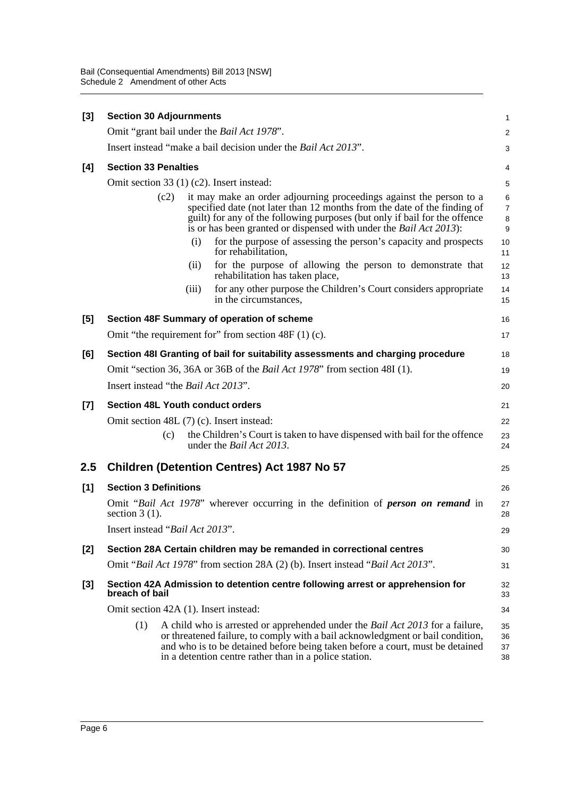| $[3]$   | <b>Section 30 Adjournments</b>                                                   |       |                                                                                                                                                                                                                                                                                                             | 1                    |  |  |  |
|---------|----------------------------------------------------------------------------------|-------|-------------------------------------------------------------------------------------------------------------------------------------------------------------------------------------------------------------------------------------------------------------------------------------------------------------|----------------------|--|--|--|
|         |                                                                                  |       | Omit "grant bail under the <i>Bail Act 1978"</i> .                                                                                                                                                                                                                                                          | $\overline{c}$       |  |  |  |
|         |                                                                                  |       | Insert instead "make a bail decision under the <i>Bail Act 2013</i> ".                                                                                                                                                                                                                                      | 3                    |  |  |  |
| [4]     | <b>Section 33 Penalties</b>                                                      |       |                                                                                                                                                                                                                                                                                                             | 4                    |  |  |  |
|         | Omit section 33 (1) (c2). Insert instead:                                        |       |                                                                                                                                                                                                                                                                                                             | 5                    |  |  |  |
|         | (c2)                                                                             |       | it may make an order adjourning proceedings against the person to a<br>specified date (not later than 12 months from the date of the finding of<br>guilt) for any of the following purposes (but only if bail for the offence<br>is or has been granted or dispensed with under the <i>Bail Act 2013</i> ): | 6<br>7<br>8<br>9     |  |  |  |
|         |                                                                                  | (i)   | for the purpose of assessing the person's capacity and prospects<br>for rehabilitation,                                                                                                                                                                                                                     | 10<br>11             |  |  |  |
|         |                                                                                  | (ii)  | for the purpose of allowing the person to demonstrate that<br>rehabilitation has taken place,                                                                                                                                                                                                               | 12<br>13             |  |  |  |
|         |                                                                                  | (iii) | for any other purpose the Children's Court considers appropriate<br>in the circumstances,                                                                                                                                                                                                                   | 14<br>15             |  |  |  |
| [5]     |                                                                                  |       | Section 48F Summary of operation of scheme                                                                                                                                                                                                                                                                  | 16                   |  |  |  |
|         |                                                                                  |       | Omit "the requirement for" from section $48F(1)(c)$ .                                                                                                                                                                                                                                                       | 17                   |  |  |  |
| [6]     |                                                                                  |       | Section 48I Granting of bail for suitability assessments and charging procedure                                                                                                                                                                                                                             | 18                   |  |  |  |
|         | Omit "section 36, 36A or 36B of the <i>Bail Act 1978</i> " from section 48I (1). |       |                                                                                                                                                                                                                                                                                                             |                      |  |  |  |
|         | Insert instead "the <i>Bail Act 2013"</i> .                                      |       |                                                                                                                                                                                                                                                                                                             | 20                   |  |  |  |
| $[7]$   | <b>Section 48L Youth conduct orders</b>                                          |       |                                                                                                                                                                                                                                                                                                             | 21                   |  |  |  |
|         | Omit section 48L (7) (c). Insert instead:                                        |       |                                                                                                                                                                                                                                                                                                             | 22                   |  |  |  |
|         | (c)                                                                              |       | the Children's Court is taken to have dispensed with bail for the offence<br>under the <i>Bail Act 2013</i> .                                                                                                                                                                                               | 23<br>24             |  |  |  |
| $2.5\,$ |                                                                                  |       | <b>Children (Detention Centres) Act 1987 No 57</b>                                                                                                                                                                                                                                                          | 25                   |  |  |  |
| [1]     | <b>Section 3 Definitions</b>                                                     |       |                                                                                                                                                                                                                                                                                                             | 26                   |  |  |  |
|         | section $3(1)$ .                                                                 |       | Omit "Bail Act 1978" wherever occurring in the definition of <b>person</b> on <b>remand</b> in                                                                                                                                                                                                              | 27<br>28             |  |  |  |
|         | Insert instead "Bail Act 2013".                                                  |       |                                                                                                                                                                                                                                                                                                             | 29                   |  |  |  |
| $[2]$   |                                                                                  |       | Section 28A Certain children may be remanded in correctional centres                                                                                                                                                                                                                                        | 30                   |  |  |  |
|         |                                                                                  |       | Omit "Bail Act 1978" from section 28A (2) (b). Insert instead "Bail Act 2013".                                                                                                                                                                                                                              | 31                   |  |  |  |
| [3]     | breach of bail                                                                   |       | Section 42A Admission to detention centre following arrest or apprehension for                                                                                                                                                                                                                              | 32<br>33             |  |  |  |
|         | Omit section 42A (1). Insert instead:                                            |       |                                                                                                                                                                                                                                                                                                             | 34                   |  |  |  |
|         | (1)                                                                              |       | A child who is arrested or apprehended under the Bail Act 2013 for a failure,<br>or threatened failure, to comply with a bail acknowledgment or bail condition,<br>and who is to be detained before being taken before a court, must be detained<br>in a detention centre rather than in a police station.  | 35<br>36<br>37<br>38 |  |  |  |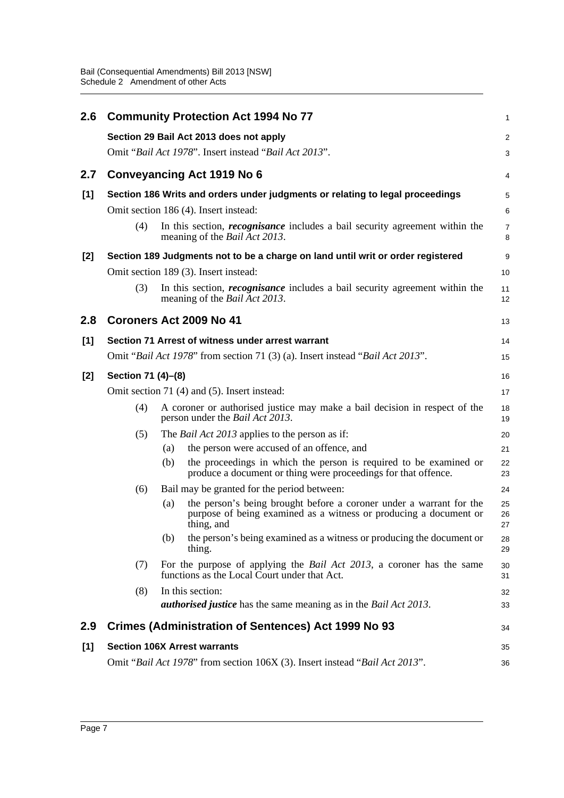| 2.6   |                                                                               |     | <b>Community Protection Act 1994 No 77</b>                                                                                                             | $\mathbf{1}$        |  |  |  |  |  |
|-------|-------------------------------------------------------------------------------|-----|--------------------------------------------------------------------------------------------------------------------------------------------------------|---------------------|--|--|--|--|--|
|       |                                                                               |     | Section 29 Bail Act 2013 does not apply                                                                                                                | 2                   |  |  |  |  |  |
|       |                                                                               |     | Omit "Bail Act 1978". Insert instead "Bail Act 2013".                                                                                                  | 3                   |  |  |  |  |  |
| 2.7   |                                                                               |     | Conveyancing Act 1919 No 6                                                                                                                             | 4                   |  |  |  |  |  |
| [1]   | Section 186 Writs and orders under judgments or relating to legal proceedings |     |                                                                                                                                                        |                     |  |  |  |  |  |
|       |                                                                               |     | Omit section 186 (4). Insert instead:                                                                                                                  | 6                   |  |  |  |  |  |
|       | (4)                                                                           |     | In this section, <i>recognisance</i> includes a bail security agreement within the<br>meaning of the <i>Bail Act 2013</i> .                            | $\overline{7}$<br>8 |  |  |  |  |  |
| [2]   |                                                                               |     | Section 189 Judgments not to be a charge on land until writ or order registered                                                                        | 9                   |  |  |  |  |  |
|       |                                                                               |     | Omit section 189 (3). Insert instead:                                                                                                                  | 10                  |  |  |  |  |  |
|       | (3)                                                                           |     | In this section, <i>recognisance</i> includes a bail security agreement within the<br>meaning of the <i>Bail Act 2013</i> .                            | 11<br>12            |  |  |  |  |  |
| 2.8   |                                                                               |     | Coroners Act 2009 No 41                                                                                                                                | 13                  |  |  |  |  |  |
| $[1]$ |                                                                               |     | Section 71 Arrest of witness under arrest warrant                                                                                                      | 14                  |  |  |  |  |  |
|       |                                                                               |     | Omit "Bail Act 1978" from section 71 (3) (a). Insert instead "Bail Act 2013".                                                                          | 15                  |  |  |  |  |  |
| [2]   | Section 71 (4)–(8)                                                            |     |                                                                                                                                                        |                     |  |  |  |  |  |
|       | Omit section 71 (4) and (5). Insert instead:                                  |     |                                                                                                                                                        |                     |  |  |  |  |  |
|       | (4)                                                                           |     | A coroner or authorised justice may make a bail decision in respect of the<br>person under the Bail Act 2013.                                          | 18<br>19            |  |  |  |  |  |
|       | (5)                                                                           |     | The <i>Bail Act 2013</i> applies to the person as if:                                                                                                  | 20                  |  |  |  |  |  |
|       |                                                                               | (a) | the person were accused of an offence, and                                                                                                             | 21                  |  |  |  |  |  |
|       |                                                                               | (b) | the proceedings in which the person is required to be examined or<br>produce a document or thing were proceedings for that offence.                    | 22<br>23            |  |  |  |  |  |
|       | (6)                                                                           |     | Bail may be granted for the period between:                                                                                                            | 24                  |  |  |  |  |  |
|       |                                                                               | (a) | the person's being brought before a coroner under a warrant for the<br>purpose of being examined as a witness or producing a document or<br>thing, and | 25<br>26<br>27      |  |  |  |  |  |
|       |                                                                               | (b) | the person's being examined as a witness or producing the document or<br>thing.                                                                        | 28<br>29            |  |  |  |  |  |
|       | (7)                                                                           |     | For the purpose of applying the <i>Bail Act 2013</i> , a coroner has the same<br>functions as the Local Court under that Act.                          | 30<br>31            |  |  |  |  |  |
|       | (8)                                                                           |     | In this section:<br><b><i>authorised justice</i></b> has the same meaning as in the <i>Bail Act 2013</i> .                                             | 32<br>33            |  |  |  |  |  |
| 2.9   |                                                                               |     | <b>Crimes (Administration of Sentences) Act 1999 No 93</b>                                                                                             | 34                  |  |  |  |  |  |
| [1]   |                                                                               |     | <b>Section 106X Arrest warrants</b>                                                                                                                    | 35                  |  |  |  |  |  |
|       |                                                                               |     | Omit "Bail Act 1978" from section 106X (3). Insert instead "Bail Act 2013".                                                                            | 36                  |  |  |  |  |  |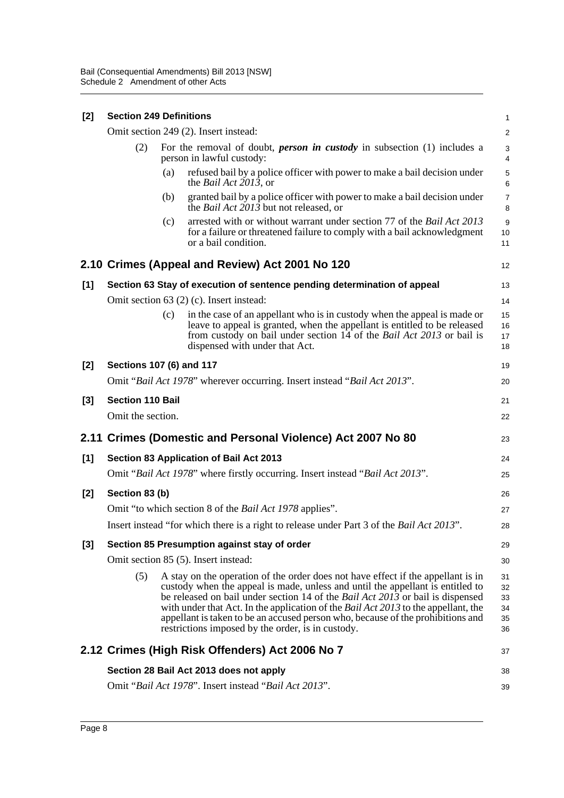| $[2]$ | <b>Section 249 Definitions</b> |                                                                                                              |                                                                                                                                                                                                                                                                                                                                                                                                                                                                                                  | $\mathbf{1}$                     |
|-------|--------------------------------|--------------------------------------------------------------------------------------------------------------|--------------------------------------------------------------------------------------------------------------------------------------------------------------------------------------------------------------------------------------------------------------------------------------------------------------------------------------------------------------------------------------------------------------------------------------------------------------------------------------------------|----------------------------------|
|       |                                |                                                                                                              | Omit section 249 (2). Insert instead:                                                                                                                                                                                                                                                                                                                                                                                                                                                            | $\overline{2}$                   |
|       | (2)                            | For the removal of doubt, <i>person in custody</i> in subsection (1) includes a<br>person in lawful custody: |                                                                                                                                                                                                                                                                                                                                                                                                                                                                                                  |                                  |
|       |                                | (a)                                                                                                          | refused bail by a police officer with power to make a bail decision under<br>the <i>Bail Act 2013</i> , or                                                                                                                                                                                                                                                                                                                                                                                       | 5<br>6                           |
|       |                                | (b)                                                                                                          | granted bail by a police officer with power to make a bail decision under<br>the <i>Bail Act</i> $201\overline{3}$ but not released, or                                                                                                                                                                                                                                                                                                                                                          | $\overline{7}$<br>8              |
|       |                                | (c)                                                                                                          | arrested with or without warrant under section 77 of the Bail Act 2013<br>for a failure or threatened failure to comply with a bail acknowledgment<br>or a bail condition.                                                                                                                                                                                                                                                                                                                       | 9<br>10<br>11                    |
|       |                                |                                                                                                              | 2.10 Crimes (Appeal and Review) Act 2001 No 120                                                                                                                                                                                                                                                                                                                                                                                                                                                  | 12                               |
| [1]   |                                |                                                                                                              | Section 63 Stay of execution of sentence pending determination of appeal                                                                                                                                                                                                                                                                                                                                                                                                                         | 13                               |
|       |                                |                                                                                                              | Omit section $63$ (2) (c). Insert instead:                                                                                                                                                                                                                                                                                                                                                                                                                                                       | 14                               |
|       |                                | (c)                                                                                                          | in the case of an appellant who is in custody when the appeal is made or<br>leave to appeal is granted, when the appellant is entitled to be released<br>from custody on bail under section 14 of the <i>Bail Act 2013</i> or bail is<br>dispensed with under that Act.                                                                                                                                                                                                                          | 15<br>16<br>17<br>18             |
| [2]   | Sections 107 (6) and 117       |                                                                                                              |                                                                                                                                                                                                                                                                                                                                                                                                                                                                                                  | 19                               |
|       |                                |                                                                                                              | Omit "Bail Act 1978" wherever occurring. Insert instead "Bail Act 2013".                                                                                                                                                                                                                                                                                                                                                                                                                         | 20                               |
| $[3]$ | <b>Section 110 Bail</b>        |                                                                                                              |                                                                                                                                                                                                                                                                                                                                                                                                                                                                                                  | 21                               |
|       | Omit the section.              |                                                                                                              |                                                                                                                                                                                                                                                                                                                                                                                                                                                                                                  | 22                               |
|       |                                |                                                                                                              | 2.11 Crimes (Domestic and Personal Violence) Act 2007 No 80                                                                                                                                                                                                                                                                                                                                                                                                                                      | 23                               |
| [1]   |                                |                                                                                                              | Section 83 Application of Bail Act 2013                                                                                                                                                                                                                                                                                                                                                                                                                                                          | 24                               |
|       |                                |                                                                                                              | Omit "Bail Act 1978" where firstly occurring. Insert instead "Bail Act 2013".                                                                                                                                                                                                                                                                                                                                                                                                                    | 25                               |
| [2]   | Section 83 (b)                 |                                                                                                              |                                                                                                                                                                                                                                                                                                                                                                                                                                                                                                  | 26                               |
|       |                                |                                                                                                              | Omit "to which section 8 of the <i>Bail Act 1978</i> applies".                                                                                                                                                                                                                                                                                                                                                                                                                                   | 27                               |
|       |                                |                                                                                                              | Insert instead "for which there is a right to release under Part 3 of the <i>Bail Act 2013</i> ".                                                                                                                                                                                                                                                                                                                                                                                                | 28                               |
| [3]   |                                |                                                                                                              | Section 85 Presumption against stay of order                                                                                                                                                                                                                                                                                                                                                                                                                                                     | 29                               |
|       |                                |                                                                                                              | Omit section 85 (5). Insert instead:                                                                                                                                                                                                                                                                                                                                                                                                                                                             | 30                               |
|       | (5)                            |                                                                                                              | A stay on the operation of the order does not have effect if the appellant is in<br>custody when the appeal is made, unless and until the appellant is entitled to<br>be released on bail under section 14 of the <i>Bail Act 2013</i> or bail is dispensed<br>with under that Act. In the application of the <i>Bail Act 2013</i> to the appellant, the<br>appellant is taken to be an accused person who, because of the prohibitions and<br>restrictions imposed by the order, is in custody. | 31<br>32<br>33<br>34<br>35<br>36 |
|       |                                |                                                                                                              | 2.12 Crimes (High Risk Offenders) Act 2006 No 7                                                                                                                                                                                                                                                                                                                                                                                                                                                  | 37                               |
|       |                                |                                                                                                              | Section 28 Bail Act 2013 does not apply                                                                                                                                                                                                                                                                                                                                                                                                                                                          | 38                               |
|       |                                |                                                                                                              | Omit "Bail Act 1978". Insert instead "Bail Act 2013".                                                                                                                                                                                                                                                                                                                                                                                                                                            | 39                               |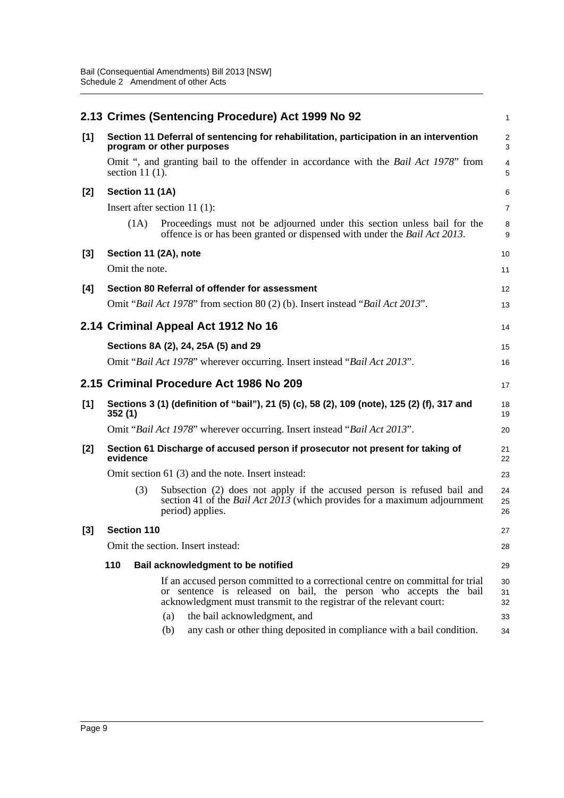|       |                    | 2.13 Crimes (Sentencing Procedure) Act 1999 No 92                                                                                                                                                                                                                                                                                                  | 1                          |
|-------|--------------------|----------------------------------------------------------------------------------------------------------------------------------------------------------------------------------------------------------------------------------------------------------------------------------------------------------------------------------------------------|----------------------------|
| [1]   |                    | Section 11 Deferral of sentencing for rehabilitation, participation in an intervention<br>program or other purposes                                                                                                                                                                                                                                | $\overline{2}$<br>3        |
|       | section $11(1)$ .  | Omit ", and granting bail to the offender in accordance with the <i>Bail Act 1978</i> " from                                                                                                                                                                                                                                                       | 4<br>5                     |
| [2]   | Section 11 (1A)    |                                                                                                                                                                                                                                                                                                                                                    | 6                          |
|       |                    | Insert after section 11 $(1)$ :                                                                                                                                                                                                                                                                                                                    | $\overline{7}$             |
|       | (1A)               | Proceedings must not be adjourned under this section unless bail for the<br>offence is or has been granted or dispensed with under the <i>Bail Act 2013</i> .                                                                                                                                                                                      | 8<br>9                     |
| $[3]$ |                    | Section 11 (2A), note                                                                                                                                                                                                                                                                                                                              | 10                         |
|       | Omit the note.     |                                                                                                                                                                                                                                                                                                                                                    | 11                         |
| [4]   |                    | Section 80 Referral of offender for assessment                                                                                                                                                                                                                                                                                                     | 12                         |
|       |                    | Omit "Bail Act 1978" from section 80 (2) (b). Insert instead "Bail Act 2013".                                                                                                                                                                                                                                                                      | 13                         |
|       |                    | 2.14 Criminal Appeal Act 1912 No 16                                                                                                                                                                                                                                                                                                                | 14                         |
|       |                    | Sections 8A (2), 24, 25A (5) and 29                                                                                                                                                                                                                                                                                                                | 15                         |
|       |                    | Omit "Bail Act 1978" wherever occurring. Insert instead "Bail Act 2013".                                                                                                                                                                                                                                                                           | 16                         |
|       |                    | 2.15 Criminal Procedure Act 1986 No 209                                                                                                                                                                                                                                                                                                            | 17                         |
| $[1]$ | 352(1)             | Sections 3 (1) (definition of "bail"), 21 (5) (c), 58 (2), 109 (note), 125 (2) (f), 317 and                                                                                                                                                                                                                                                        | 18<br>19                   |
|       |                    | Omit "Bail Act 1978" wherever occurring. Insert instead "Bail Act 2013".                                                                                                                                                                                                                                                                           | 20                         |
| [2]   | evidence           | Section 61 Discharge of accused person if prosecutor not present for taking of                                                                                                                                                                                                                                                                     | 21<br>22                   |
|       |                    | Omit section 61 (3) and the note. Insert instead:                                                                                                                                                                                                                                                                                                  | 23                         |
|       | (3)                | Subsection (2) does not apply if the accused person is refused bail and<br>section 41 of the <i>Bail Act <math>20\overline{13}</math></i> (which provides for a maximum adjournment<br>period) applies.                                                                                                                                            | 24<br>25<br>26             |
| [3]   | <b>Section 110</b> |                                                                                                                                                                                                                                                                                                                                                    | 27                         |
|       |                    | Omit the section. Insert instead:                                                                                                                                                                                                                                                                                                                  | 28                         |
|       | 110                | Bail acknowledgment to be notified                                                                                                                                                                                                                                                                                                                 | 29                         |
|       |                    | If an accused person committed to a correctional centre on committal for trial<br>or sentence is released on bail, the person who accepts the bail<br>acknowledgment must transmit to the registrar of the relevant court:<br>the bail acknowledgment, and<br>(a)<br>any cash or other thing deposited in compliance with a bail condition.<br>(b) | 30<br>31<br>32<br>33<br>34 |
|       |                    |                                                                                                                                                                                                                                                                                                                                                    |                            |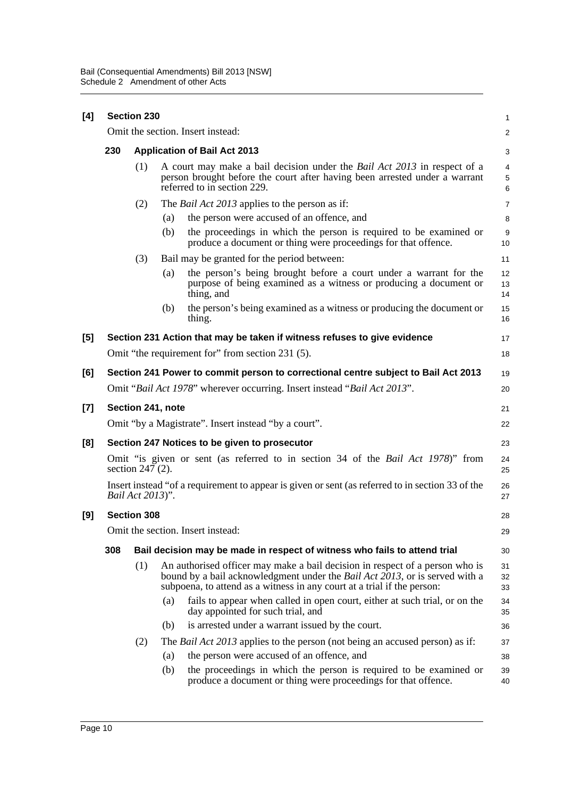| [4] | <b>Section 230</b>                                                                                               |                                                                                    |                                                                                                                                                                                                                                                |                |  |  |  |
|-----|------------------------------------------------------------------------------------------------------------------|------------------------------------------------------------------------------------|------------------------------------------------------------------------------------------------------------------------------------------------------------------------------------------------------------------------------------------------|----------------|--|--|--|
|     |                                                                                                                  |                                                                                    | Omit the section. Insert instead:                                                                                                                                                                                                              | $\overline{c}$ |  |  |  |
|     | 230                                                                                                              |                                                                                    | <b>Application of Bail Act 2013</b>                                                                                                                                                                                                            | 3              |  |  |  |
|     |                                                                                                                  | (1)                                                                                | A court may make a bail decision under the <i>Bail Act 2013</i> in respect of a<br>person brought before the court after having been arrested under a warrant<br>referred to in section 229.                                                   | 4<br>5<br>6    |  |  |  |
|     |                                                                                                                  | (2)                                                                                | The <i>Bail Act 2013</i> applies to the person as if:                                                                                                                                                                                          | 7              |  |  |  |
|     |                                                                                                                  |                                                                                    | the person were accused of an offence, and<br>(a)                                                                                                                                                                                              | 8              |  |  |  |
|     |                                                                                                                  |                                                                                    | the proceedings in which the person is required to be examined or<br>(b)<br>produce a document or thing were proceedings for that offence.                                                                                                     | 9<br>10        |  |  |  |
|     |                                                                                                                  | (3)                                                                                | Bail may be granted for the period between:                                                                                                                                                                                                    | 11             |  |  |  |
|     |                                                                                                                  |                                                                                    | the person's being brought before a court under a warrant for the<br>(a)<br>purpose of being examined as a witness or producing a document or<br>thing, and                                                                                    | 12<br>13<br>14 |  |  |  |
|     |                                                                                                                  |                                                                                    | the person's being examined as a witness or producing the document or<br>(b)<br>thing.                                                                                                                                                         | 15<br>16       |  |  |  |
| [5] |                                                                                                                  |                                                                                    | Section 231 Action that may be taken if witness refuses to give evidence                                                                                                                                                                       | 17             |  |  |  |
|     |                                                                                                                  |                                                                                    | Omit "the requirement for" from section 231 (5).                                                                                                                                                                                               |                |  |  |  |
| [6] |                                                                                                                  | Section 241 Power to commit person to correctional centre subject to Bail Act 2013 |                                                                                                                                                                                                                                                |                |  |  |  |
|     |                                                                                                                  |                                                                                    | Omit "Bail Act 1978" wherever occurring. Insert instead "Bail Act 2013".                                                                                                                                                                       | 20             |  |  |  |
| [7] |                                                                                                                  |                                                                                    | Section 241, note                                                                                                                                                                                                                              | 21             |  |  |  |
|     |                                                                                                                  |                                                                                    | Omit "by a Magistrate". Insert instead "by a court".                                                                                                                                                                                           | 22             |  |  |  |
| [8] | Section 247 Notices to be given to prosecutor                                                                    |                                                                                    |                                                                                                                                                                                                                                                |                |  |  |  |
|     | Omit "is given or sent (as referred to in section 34 of the Bail Act 1978)" from<br>24<br>section 247 (2).<br>25 |                                                                                    |                                                                                                                                                                                                                                                |                |  |  |  |
|     |                                                                                                                  | Bail Act 2013)".                                                                   | Insert instead "of a requirement to appear is given or sent (as referred to in section 33 of the                                                                                                                                               | 26<br>27       |  |  |  |
| [9] | <b>Section 308</b><br>28                                                                                         |                                                                                    |                                                                                                                                                                                                                                                |                |  |  |  |
|     |                                                                                                                  |                                                                                    | Omit the section. Insert instead:                                                                                                                                                                                                              | 29             |  |  |  |
|     | 308                                                                                                              |                                                                                    | Bail decision may be made in respect of witness who fails to attend trial                                                                                                                                                                      | 30             |  |  |  |
|     |                                                                                                                  | (1)                                                                                | An authorised officer may make a bail decision in respect of a person who is<br>bound by a bail acknowledgment under the <i>Bail Act 2013</i> , or is served with a<br>subpoena, to attend as a witness in any court at a trial if the person: | 31<br>32<br>33 |  |  |  |
|     |                                                                                                                  |                                                                                    | (a)<br>fails to appear when called in open court, either at such trial, or on the<br>day appointed for such trial, and                                                                                                                         | 34<br>35       |  |  |  |
|     |                                                                                                                  |                                                                                    | (b)<br>is arrested under a warrant issued by the court.                                                                                                                                                                                        | 36             |  |  |  |
|     |                                                                                                                  | (2)                                                                                | The <i>Bail Act 2013</i> applies to the person (not being an accused person) as if:                                                                                                                                                            | 37             |  |  |  |
|     |                                                                                                                  |                                                                                    | the person were accused of an offence, and<br>(a)                                                                                                                                                                                              | 38             |  |  |  |
|     |                                                                                                                  |                                                                                    | (b)<br>the proceedings in which the person is required to be examined or<br>produce a document or thing were proceedings for that offence.                                                                                                     | 39<br>40       |  |  |  |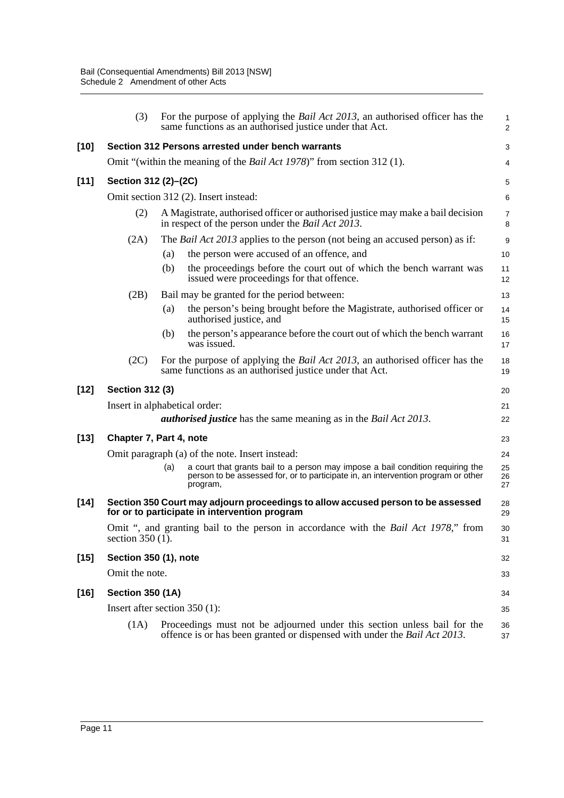|        | (3)                     | For the purpose of applying the <i>Bail Act 2013</i> , an authorised officer has the<br>same functions as an authorised justice under that Act.                                        | $\mathbf{1}$<br>$\overline{2}$ |
|--------|-------------------------|----------------------------------------------------------------------------------------------------------------------------------------------------------------------------------------|--------------------------------|
| $[10]$ |                         | Section 312 Persons arrested under bench warrants                                                                                                                                      | 3                              |
|        |                         | Omit "(within the meaning of the <i>Bail Act 1978</i> )" from section 312 (1).                                                                                                         | 4                              |
| $[11]$ | Section 312 (2)-(2C)    |                                                                                                                                                                                        | 5                              |
|        |                         | Omit section 312 (2). Insert instead:                                                                                                                                                  | $\,6\,$                        |
|        | (2)                     | A Magistrate, authorised officer or authorised justice may make a bail decision<br>in respect of the person under the <i>Bail Act 2013</i> .                                           | $\overline{7}$<br>8            |
|        | (2A)                    | The <i>Bail Act 2013</i> applies to the person (not being an accused person) as if:                                                                                                    | 9                              |
|        |                         | the person were accused of an offence, and<br>(a)                                                                                                                                      | 10                             |
|        |                         | (b)<br>the proceedings before the court out of which the bench warrant was<br>issued were proceedings for that offence.                                                                | 11<br>12                       |
|        | (2B)                    | Bail may be granted for the period between:                                                                                                                                            | 13                             |
|        |                         | the person's being brought before the Magistrate, authorised officer or<br>(a)<br>authorised justice, and                                                                              | 14<br>15                       |
|        |                         | the person's appearance before the court out of which the bench warrant<br>(b)<br>was issued.                                                                                          | 16<br>17                       |
|        | (2C)                    | For the purpose of applying the <i>Bail Act 2013</i> , an authorised officer has the<br>same functions as an authorised justice under that Act.                                        | 18<br>19                       |
| $[12]$ | <b>Section 312 (3)</b>  |                                                                                                                                                                                        | 20                             |
|        |                         | Insert in alphabetical order:                                                                                                                                                          | 21                             |
|        |                         | <b><i>authorised justice</i></b> has the same meaning as in the <i>Bail Act 2013</i> .                                                                                                 | 22                             |
| $[13]$ |                         | Chapter 7, Part 4, note                                                                                                                                                                | 23                             |
|        |                         | Omit paragraph (a) of the note. Insert instead:                                                                                                                                        | 24                             |
|        |                         | a court that grants bail to a person may impose a bail condition requiring the<br>(a)<br>person to be assessed for, or to participate in, an intervention program or other<br>program, | 25<br>26<br>27                 |
| $[14]$ |                         | Section 350 Court may adjourn proceedings to allow accused person to be assessed<br>for or to participate in intervention program                                                      | 28<br>29                       |
|        | section $350(1)$ .      | Omit ", and granting bail to the person in accordance with the <i>Bail Act 1978</i> ," from                                                                                            | 30<br>31                       |
| $[15]$ | Section 350 (1), note   |                                                                                                                                                                                        | 32                             |
|        | Omit the note.          |                                                                                                                                                                                        | 33                             |
| $[16]$ | <b>Section 350 (1A)</b> |                                                                                                                                                                                        | 34                             |
|        |                         | Insert after section $350(1)$ :                                                                                                                                                        | 35                             |
|        | (1A)                    | Proceedings must not be adjourned under this section unless bail for the<br>offence is or has been granted or dispensed with under the <i>Bail Act 2013</i> .                          | 36                             |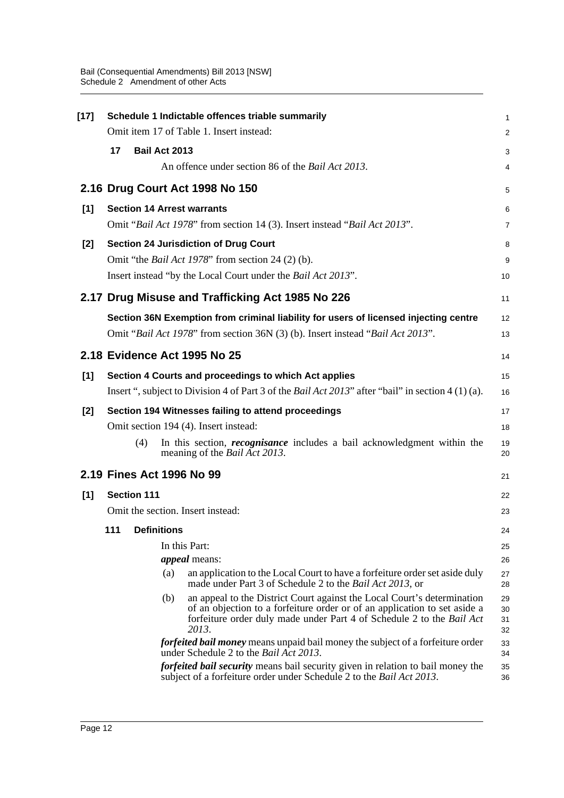| $[17]$ |    |                    |                      | Schedule 1 Indictable offences triable summarily                                                                                                                                                                                       | 1                    |
|--------|----|--------------------|----------------------|----------------------------------------------------------------------------------------------------------------------------------------------------------------------------------------------------------------------------------------|----------------------|
|        |    |                    |                      | Omit item 17 of Table 1. Insert instead:                                                                                                                                                                                               | $\overline{c}$       |
|        | 17 |                    | <b>Bail Act 2013</b> |                                                                                                                                                                                                                                        | 3                    |
|        |    |                    |                      | An offence under section 86 of the Bail Act 2013.                                                                                                                                                                                      | 4                    |
|        |    |                    |                      | 2.16 Drug Court Act 1998 No 150                                                                                                                                                                                                        | 5                    |
| [1]    |    |                    |                      | <b>Section 14 Arrest warrants</b>                                                                                                                                                                                                      | 6                    |
|        |    |                    |                      | Omit "Bail Act 1978" from section 14 (3). Insert instead "Bail Act 2013".                                                                                                                                                              | 7                    |
| [2]    |    |                    |                      | <b>Section 24 Jurisdiction of Drug Court</b>                                                                                                                                                                                           | 8                    |
|        |    |                    |                      | Omit "the <i>Bail Act 1978</i> " from section 24 (2) (b).                                                                                                                                                                              | 9                    |
|        |    |                    |                      | Insert instead "by the Local Court under the <i>Bail Act 2013</i> ".                                                                                                                                                                   | 10                   |
|        |    |                    |                      | 2.17 Drug Misuse and Trafficking Act 1985 No 226                                                                                                                                                                                       | 11                   |
|        |    |                    |                      | Section 36N Exemption from criminal liability for users of licensed injecting centre                                                                                                                                                   | 12                   |
|        |    |                    |                      | Omit "Bail Act 1978" from section 36N (3) (b). Insert instead "Bail Act 2013".                                                                                                                                                         | 13                   |
|        |    |                    |                      | 2.18 Evidence Act 1995 No 25                                                                                                                                                                                                           | 14                   |
| [1]    |    |                    |                      | Section 4 Courts and proceedings to which Act applies                                                                                                                                                                                  | 15                   |
|        |    |                    |                      | Insert ", subject to Division 4 of Part 3 of the Bail Act 2013" after "bail" in section 4 (1) (a).                                                                                                                                     | 16                   |
| [2]    |    |                    |                      | Section 194 Witnesses failing to attend proceedings                                                                                                                                                                                    | 17                   |
|        |    |                    |                      | Omit section 194 (4). Insert instead:                                                                                                                                                                                                  | 18                   |
|        |    | (4)                |                      | In this section, <i>recognisance</i> includes a bail acknowledgment within the<br>meaning of the <i>Bail Act 2013</i> .                                                                                                                | 19<br>20             |
|        |    |                    |                      | 2.19 Fines Act 1996 No 99                                                                                                                                                                                                              | 21                   |
| [1]    |    | <b>Section 111</b> |                      |                                                                                                                                                                                                                                        | 22                   |
|        |    |                    |                      | Omit the section. Insert instead:                                                                                                                                                                                                      | 23                   |
|        |    | 111 Definitions    |                      |                                                                                                                                                                                                                                        | 24                   |
|        |    |                    |                      | In this Part:                                                                                                                                                                                                                          | 25                   |
|        |    |                    |                      | <i>appeal</i> means:                                                                                                                                                                                                                   | 26                   |
|        |    |                    | (a)                  | an application to the Local Court to have a forfeiture order set aside duly<br>made under Part 3 of Schedule 2 to the <i>Bail Act 2013</i> , or                                                                                        | 27<br>28             |
|        |    |                    | (b)                  | an appeal to the District Court against the Local Court's determination<br>of an objection to a forfeiture order or of an application to set aside a<br>forfeiture order duly made under Part 4 of Schedule 2 to the Bail Act<br>2013. | 29<br>30<br>31<br>32 |
|        |    |                    |                      | forfeited bail money means unpaid bail money the subject of a forfeiture order<br>under Schedule 2 to the <i>Bail Act 2013</i> .                                                                                                       | 33<br>34             |
|        |    |                    |                      | <i>forfeited bail security</i> means bail security given in relation to bail money the<br>subject of a forfeiture order under Schedule 2 to the Bail Act 2013.                                                                         | 35<br>36             |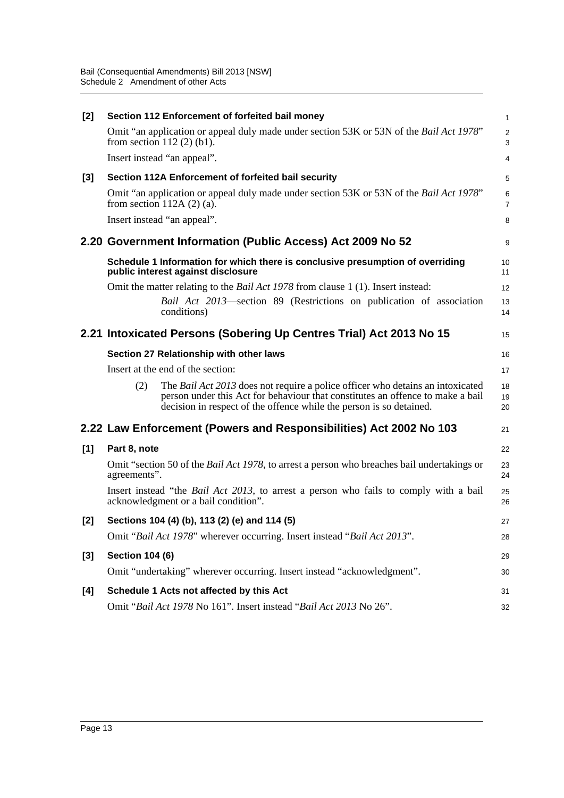| $[2]$ | Section 112 Enforcement of forfeited bail money                                                                                                                                                                                                | $\mathbf{1}$                  |
|-------|------------------------------------------------------------------------------------------------------------------------------------------------------------------------------------------------------------------------------------------------|-------------------------------|
|       | Omit "an application or appeal duly made under section 53K or 53N of the <i>Bail Act 1978</i> "<br>from section $112(2)(b1)$ .                                                                                                                 | $\overline{2}$<br>$\mathsf 3$ |
|       | Insert instead "an appeal".                                                                                                                                                                                                                    | $\overline{4}$                |
| [3]   | Section 112A Enforcement of forfeited bail security                                                                                                                                                                                            | 5                             |
|       | Omit "an application or appeal duly made under section 53K or 53N of the <i>Bail Act 1978</i> "<br>from section $112A(2)(a)$ .                                                                                                                 | $\,6\,$<br>$\overline{7}$     |
|       | Insert instead "an appeal".                                                                                                                                                                                                                    | 8                             |
|       | 2.20 Government Information (Public Access) Act 2009 No 52                                                                                                                                                                                     | 9                             |
|       | Schedule 1 Information for which there is conclusive presumption of overriding<br>public interest against disclosure                                                                                                                           | 10<br>11                      |
|       | Omit the matter relating to the <i>Bail Act 1978</i> from clause 1 (1). Insert instead:                                                                                                                                                        | 12                            |
|       | Bail Act 2013-section 89 (Restrictions on publication of association<br>conditions)                                                                                                                                                            | 13<br>14                      |
|       | 2.21 Intoxicated Persons (Sobering Up Centres Trial) Act 2013 No 15                                                                                                                                                                            | 15                            |
|       | Section 27 Relationship with other laws                                                                                                                                                                                                        | 16                            |
|       | Insert at the end of the section:                                                                                                                                                                                                              | 17                            |
|       | The Bail Act 2013 does not require a police officer who detains an intoxicated<br>(2)<br>person under this Act for behaviour that constitutes an offence to make a bail<br>decision in respect of the offence while the person is so detained. | 18<br>19<br>20                |
|       | 2.22 Law Enforcement (Powers and Responsibilities) Act 2002 No 103                                                                                                                                                                             | 21                            |
| [1]   | Part 8, note                                                                                                                                                                                                                                   | 22                            |
|       | Omit "section 50 of the <i>Bail Act 1978</i> , to arrest a person who breaches bail undertakings or<br>agreements".                                                                                                                            | 23<br>24                      |
|       | Insert instead "the <i>Bail Act 2013</i> , to arrest a person who fails to comply with a bail<br>acknowledgment or a bail condition".                                                                                                          | 25<br>26                      |
| $[2]$ | Sections 104 (4) (b), 113 (2) (e) and 114 (5)                                                                                                                                                                                                  | 27                            |
|       | Omit "Bail Act 1978" wherever occurring. Insert instead "Bail Act 2013".                                                                                                                                                                       | 28                            |
| $[3]$ | <b>Section 104 (6)</b>                                                                                                                                                                                                                         | 29                            |
|       | Omit "undertaking" wherever occurring. Insert instead "acknowledgment".                                                                                                                                                                        | 30                            |
| [4]   | Schedule 1 Acts not affected by this Act                                                                                                                                                                                                       | 31                            |
|       | Omit "Bail Act 1978 No 161". Insert instead "Bail Act 2013 No 26".                                                                                                                                                                             | 32                            |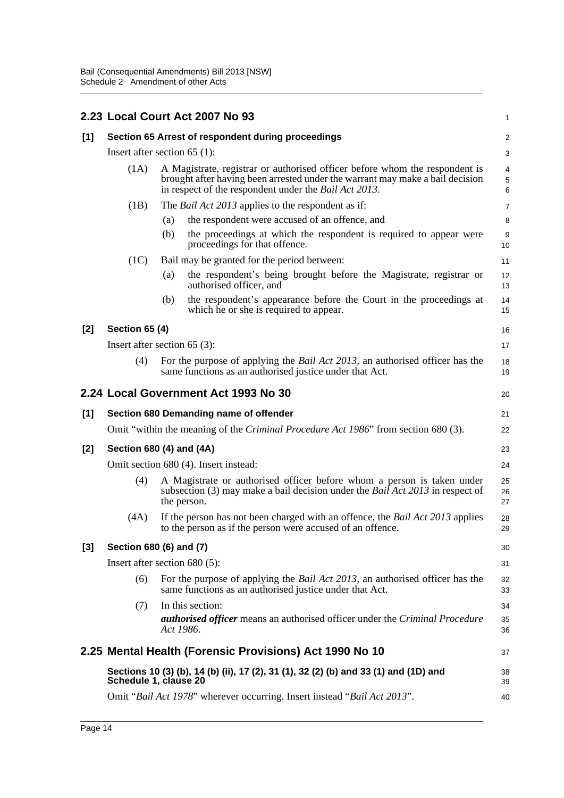|       |                                                    | 2.23 Local Court Act 2007 No 93                                                                                                                                                                                               | 1                                  |  |  |
|-------|----------------------------------------------------|-------------------------------------------------------------------------------------------------------------------------------------------------------------------------------------------------------------------------------|------------------------------------|--|--|
| [1]   | Section 65 Arrest of respondent during proceedings |                                                                                                                                                                                                                               |                                    |  |  |
|       |                                                    | Insert after section $65$ (1):                                                                                                                                                                                                | 3                                  |  |  |
|       | (1A)                                               | A Magistrate, registrar or authorised officer before whom the respondent is<br>brought after having been arrested under the warrant may make a bail decision<br>in respect of the respondent under the <i>Bail Act 2013</i> . | $\overline{4}$<br>$\mathbf 5$<br>6 |  |  |
|       | (1B)                                               | The <i>Bail Act 2013</i> applies to the respondent as if:                                                                                                                                                                     | 7                                  |  |  |
|       |                                                    | the respondent were accused of an offence, and<br>(a)                                                                                                                                                                         | 8                                  |  |  |
|       |                                                    | the proceedings at which the respondent is required to appear were<br>(b)<br>proceedings for that offence.                                                                                                                    | 9<br>10                            |  |  |
|       | (1C)                                               | Bail may be granted for the period between:                                                                                                                                                                                   | 11                                 |  |  |
|       |                                                    | the respondent's being brought before the Magistrate, registrar or<br>(a)<br>authorised officer, and                                                                                                                          | 12<br>13                           |  |  |
|       |                                                    | the respondent's appearance before the Court in the proceedings at<br>(b)<br>which he or she is required to appear.                                                                                                           | 14<br>15                           |  |  |
| [2]   | <b>Section 65 (4)</b>                              |                                                                                                                                                                                                                               | 16                                 |  |  |
|       |                                                    | Insert after section $65$ (3):                                                                                                                                                                                                | 17                                 |  |  |
|       | (4)                                                | For the purpose of applying the <i>Bail Act 2013</i> , an authorised officer has the<br>same functions as an authorised justice under that Act.                                                                               | 18<br>19                           |  |  |
|       |                                                    | 2.24 Local Government Act 1993 No 30                                                                                                                                                                                          | 20                                 |  |  |
| [1]   |                                                    | Section 680 Demanding name of offender                                                                                                                                                                                        | 21                                 |  |  |
|       |                                                    | Omit "within the meaning of the <i>Criminal Procedure Act 1986</i> " from section 680 (3).                                                                                                                                    | 22                                 |  |  |
| $[2]$ |                                                    | Section 680 (4) and (4A)                                                                                                                                                                                                      | 23                                 |  |  |
|       |                                                    | Omit section 680 (4). Insert instead:                                                                                                                                                                                         | 24                                 |  |  |
|       | (4)                                                | A Magistrate or authorised officer before whom a person is taken under<br>subsection (3) may make a bail decision under the <i>Bail Act 2013</i> in respect of<br>the person.                                                 | 25<br>26<br>27                     |  |  |
|       | (4A)                                               | If the person has not been charged with an offence, the <i>Bail Act 2013</i> applies<br>to the person as if the person were accused of an offence.                                                                            | 28<br>29                           |  |  |
| $[3]$ |                                                    | Section 680 (6) and (7)                                                                                                                                                                                                       | 30                                 |  |  |
|       |                                                    | Insert after section $680(5)$ :                                                                                                                                                                                               | 31                                 |  |  |
|       | (6)                                                | For the purpose of applying the <i>Bail Act 2013</i> , an authorised officer has the<br>same functions as an authorised justice under that Act.                                                                               | 32<br>33                           |  |  |
|       | (7)                                                | In this section:<br><b>authorised officer</b> means an authorised officer under the Criminal Procedure<br>Act 1986.                                                                                                           | 34<br>35<br>36                     |  |  |
|       |                                                    | 2.25 Mental Health (Forensic Provisions) Act 1990 No 10                                                                                                                                                                       | 37                                 |  |  |
|       |                                                    | Sections 10 (3) (b), 14 (b) (ii), 17 (2), 31 (1), 32 (2) (b) and 33 (1) and (1D) and<br>Schedule 1, clause 20                                                                                                                 | 38<br>39                           |  |  |
|       |                                                    | Omit "Bail Act 1978" wherever occurring. Insert instead "Bail Act 2013".                                                                                                                                                      | 40                                 |  |  |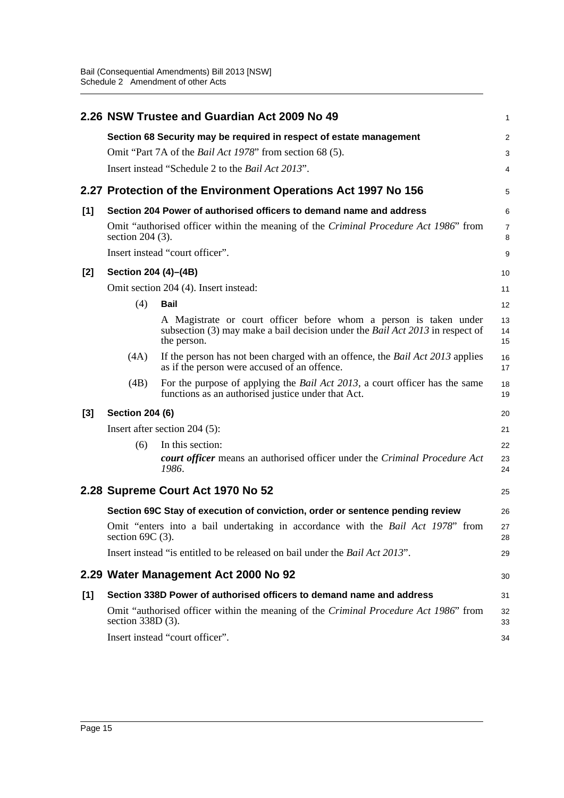|       |                                                                                                             | 2.26 NSW Trustee and Guardian Act 2009 No 49                                                                                                                             | 1              |  |  |
|-------|-------------------------------------------------------------------------------------------------------------|--------------------------------------------------------------------------------------------------------------------------------------------------------------------------|----------------|--|--|
|       |                                                                                                             | Section 68 Security may be required in respect of estate management                                                                                                      | 2              |  |  |
|       |                                                                                                             | Omit "Part 7A of the <i>Bail Act 1978</i> " from section 68 (5).                                                                                                         | 3              |  |  |
|       |                                                                                                             | Insert instead "Schedule 2 to the <i>Bail Act 2013</i> ".                                                                                                                | 4              |  |  |
|       |                                                                                                             | 2.27 Protection of the Environment Operations Act 1997 No 156                                                                                                            | 5              |  |  |
| [1]   | Section 204 Power of authorised officers to demand name and address                                         |                                                                                                                                                                          |                |  |  |
|       | Omit "authorised officer within the meaning of the Criminal Procedure Act 1986" from<br>section $204(3)$ .  |                                                                                                                                                                          |                |  |  |
|       | Insert instead "court officer".                                                                             |                                                                                                                                                                          | 9              |  |  |
| [2]   | Section 204 (4)–(4B)                                                                                        |                                                                                                                                                                          | 10             |  |  |
|       |                                                                                                             | Omit section 204 (4). Insert instead:                                                                                                                                    | 11             |  |  |
|       | (4)                                                                                                         | <b>Bail</b>                                                                                                                                                              | 12             |  |  |
|       |                                                                                                             | A Magistrate or court officer before whom a person is taken under<br>subsection (3) may make a bail decision under the <i>Bail Act 2013</i> in respect of<br>the person. | 13<br>14<br>15 |  |  |
|       | (4A)                                                                                                        | If the person has not been charged with an offence, the Bail Act 2013 applies<br>as if the person were accused of an offence.                                            | 16<br>17       |  |  |
|       | (4B)                                                                                                        | For the purpose of applying the <i>Bail Act 2013</i> , a court officer has the same<br>functions as an authorised justice under that Act.                                | 18<br>19       |  |  |
| $[3]$ | <b>Section 204 (6)</b><br>20                                                                                |                                                                                                                                                                          |                |  |  |
|       | Insert after section $204$ (5):                                                                             |                                                                                                                                                                          |                |  |  |
|       | (6)                                                                                                         | In this section:                                                                                                                                                         | 22             |  |  |
|       |                                                                                                             | court officer means an authorised officer under the Criminal Procedure Act<br>1986.                                                                                      | 23<br>24       |  |  |
|       |                                                                                                             | 2.28 Supreme Court Act 1970 No 52                                                                                                                                        | 25             |  |  |
|       |                                                                                                             | Section 69C Stay of execution of conviction, order or sentence pending review                                                                                            | 26             |  |  |
|       | Omit "enters into a bail undertaking in accordance with the Bail Act 1978" from<br>section $69C(3)$ .       |                                                                                                                                                                          |                |  |  |
|       | Insert instead "is entitled to be released on bail under the <i>Bail Act 2013</i> ".                        |                                                                                                                                                                          |                |  |  |
|       |                                                                                                             | 2.29 Water Management Act 2000 No 92                                                                                                                                     | 30             |  |  |
| [1]   | Section 338D Power of authorised officers to demand name and address                                        |                                                                                                                                                                          |                |  |  |
|       | Omit "authorised officer within the meaning of the Criminal Procedure Act 1986" from<br>section $338D(3)$ . |                                                                                                                                                                          |                |  |  |
|       | Insert instead "court officer".                                                                             |                                                                                                                                                                          |                |  |  |